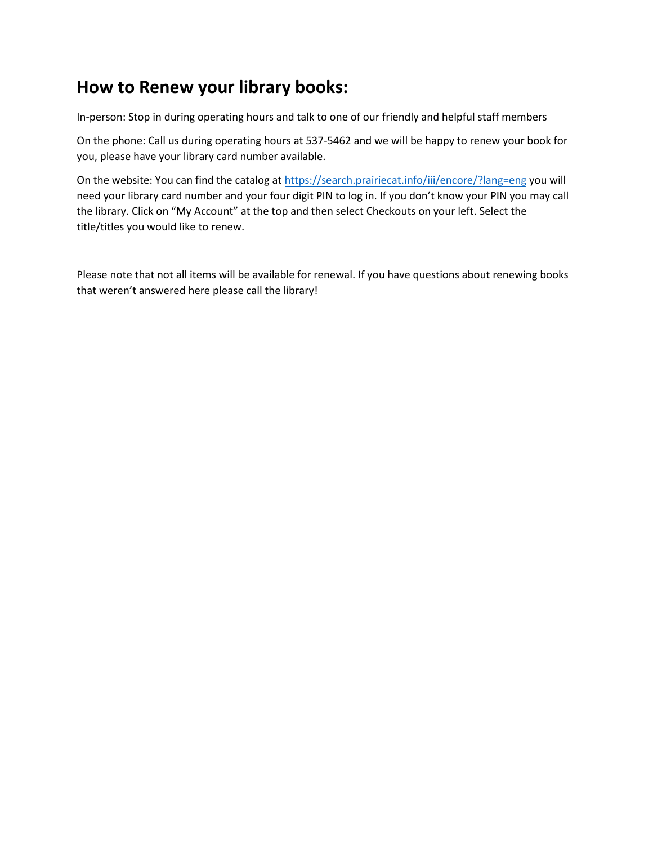## **How to Renew your library books:**

In-person: Stop in during operating hours and talk to one of our friendly and helpful staff members

On the phone: Call us during operating hours at 537-5462 and we will be happy to renew your book for you, please have your library card number available.

On the website: You can find the catalog a[t https://search.prairiecat.info/iii/encore/?lang=eng](https://search.prairiecat.info/iii/encore/?lang=eng) you will need your library card number and your four digit PIN to log in. If you don't know your PIN you may call the library. Click on "My Account" at the top and then select Checkouts on your left. Select the title/titles you would like to renew.

Please note that not all items will be available for renewal. If you have questions about renewing books that weren't answered here please call the library!